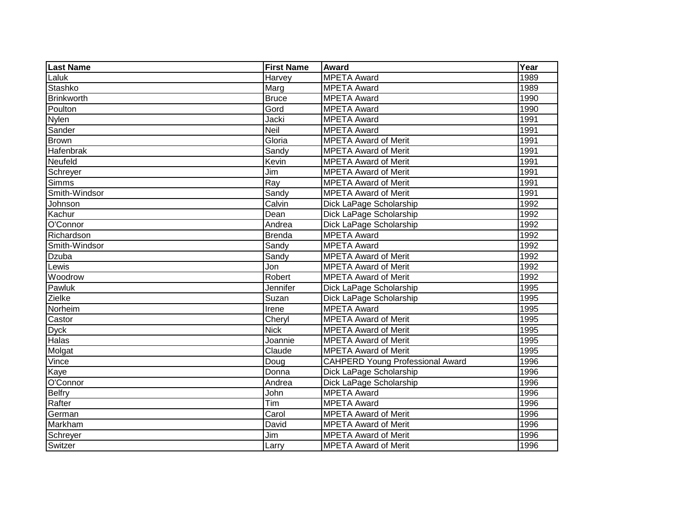| Last Name         | <b>First Name</b> | <b>Award</b>                            | Year |
|-------------------|-------------------|-----------------------------------------|------|
| Laluk             | Harvey            | <b>MPETA Award</b>                      | 1989 |
| Stashko           | Marg              | <b>MPETA Award</b>                      | 1989 |
| <b>Brinkworth</b> | <b>Bruce</b>      | <b>MPETA Award</b>                      | 1990 |
| Poulton           | Gord              | <b>MPETA Award</b>                      | 1990 |
| <b>Nylen</b>      | Jacki             | <b>MPETA Award</b>                      | 1991 |
| Sander            | <b>Neil</b>       | <b>MPETA Award</b>                      | 1991 |
| <b>Brown</b>      | Gloria            | <b>MPETA Award of Merit</b>             | 1991 |
| Hafenbrak         | Sandy             | <b>MPETA Award of Merit</b>             | 1991 |
| Neufeld           | Kevin             | <b>MPETA Award of Merit</b>             | 1991 |
| Schreyer          | Jim               | <b>MPETA Award of Merit</b>             | 1991 |
| <b>Simms</b>      | Ray               | <b>MPETA Award of Merit</b>             | 1991 |
| Smith-Windsor     | Sandy             | <b>MPETA Award of Merit</b>             | 1991 |
| Johnson           | Calvin            | Dick LaPage Scholarship                 | 1992 |
| Kachur            | Dean              | Dick LaPage Scholarship                 | 1992 |
| O'Connor          | Andrea            | Dick LaPage Scholarship                 | 1992 |
| Richardson        | <b>Brenda</b>     | <b>MPETA Award</b>                      | 1992 |
| Smith-Windsor     | Sandy             | <b>MPETA Award</b>                      | 1992 |
| Dzuba             | Sandy             | <b>MPETA Award of Merit</b>             | 1992 |
| Lewis             | Jon               | <b>MPETA Award of Merit</b>             | 1992 |
| Woodrow           | Robert            | <b>MPETA Award of Merit</b>             | 1992 |
| Pawluk            | Jennifer          | Dick LaPage Scholarship                 | 1995 |
| Zielke            | Suzan             | Dick LaPage Scholarship                 | 1995 |
| Norheim           | Irene             | <b>MPETA Award</b>                      | 1995 |
| Castor            | Cheryl            | <b>MPETA Award of Merit</b>             | 1995 |
| <b>Dyck</b>       | <b>Nick</b>       | <b>MPETA Award of Merit</b>             | 1995 |
| Halas             | Joannie           | <b>MPETA Award of Merit</b>             | 1995 |
| Molgat            | Claude            | <b>MPETA Award of Merit</b>             | 1995 |
| Vince             | Doug              | <b>CAHPERD Young Professional Award</b> | 1996 |
| Kaye              | Donna             | Dick LaPage Scholarship                 | 1996 |
| O'Connor          | Andrea            | Dick LaPage Scholarship                 | 1996 |
| <b>Belfry</b>     | John              | <b>MPETA Award</b>                      | 1996 |
| Rafter            | Tim               | <b>MPETA Award</b>                      | 1996 |
| German            | Carol             | <b>MPETA Award of Merit</b>             | 1996 |
| Markham           | David             | <b>MPETA Award of Merit</b>             | 1996 |
| Schreyer          | Jim               | <b>MPETA Award of Merit</b>             | 1996 |
| Switzer           | Larry             | <b>MPETA Award of Merit</b>             | 1996 |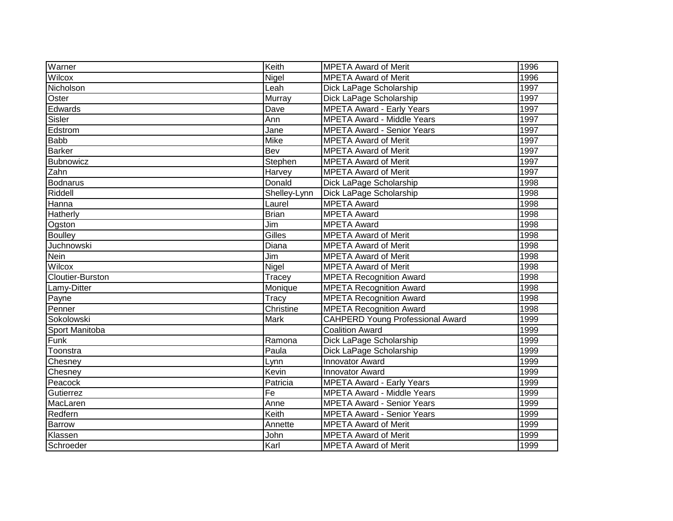| Warner                     | Keith         | <b>MPETA Award of Merit</b>             | 1996 |
|----------------------------|---------------|-----------------------------------------|------|
| Wilcox                     | Nigel         | <b>MPETA Award of Merit</b>             | 1996 |
| Nicholson                  | Leah          | Dick LaPage Scholarship                 | 1997 |
| Oster                      | <b>Murray</b> | Dick LaPage Scholarship                 | 1997 |
| Edwards                    | Dave          | <b>MPETA Award - Early Years</b>        | 1997 |
| Sisler                     | Ann           | <b>MPETA Award - Middle Years</b>       | 1997 |
| Edstrom                    | Jane          | <b>MPETA Award - Senior Years</b>       | 1997 |
| <b>Babb</b>                | <b>Mike</b>   | <b>MPETA Award of Merit</b>             | 1997 |
| <b>Barker</b>              | Bev           | <b>MPETA Award of Merit</b>             | 1997 |
| Bubnowicz                  | Stephen       | <b>MPETA Award of Merit</b>             | 1997 |
| <b>Zahn</b>                | Harvey        | <b>MPETA Award of Merit</b>             | 1997 |
| Bodnarus                   | Donald        | Dick LaPage Scholarship                 | 1998 |
| Riddell                    | Shelley-Lynn  | Dick LaPage Scholarship                 | 1998 |
| Hanna                      | Laurel        | <b>MPETA Award</b>                      | 1998 |
| Hatherly                   | <b>Brian</b>  | <b>MPETA Award</b>                      | 1998 |
| Ogston                     | Jim           | MPETA Award                             | 1998 |
| <b>Boulley</b>             | Gilles        | <b>MPETA Award of Merit</b>             | 1998 |
| Juchnowski                 | Diana         | <b>MPETA Award of Merit</b>             | 1998 |
| $\overline{\mathsf{Nein}}$ | Jim           | <b>MPETA Award of Merit</b>             | 1998 |
| Wilcox                     | Nigel         | <b>MPETA Award of Merit</b>             | 1998 |
| Cloutier-Burston           | Tracey        | <b>MPETA Recognition Award</b>          | 1998 |
| Lamy-Ditter                | Monique       | <b>MPETA Recognition Award</b>          | 1998 |
| Payne                      | Tracy         | <b>MPETA Recognition Award</b>          | 1998 |
| Penner                     | Christine     | <b>MPETA Recognition Award</b>          | 1998 |
| Sokolowski                 | <b>Mark</b>   | <b>CAHPERD Young Professional Award</b> | 1999 |
| Sport Manitoba             |               | <b>Coalition Award</b>                  | 1999 |
| Funk                       | Ramona        | Dick LaPage Scholarship                 | 1999 |
| Toonstra                   | Paula         | Dick LaPage Scholarship                 | 1999 |
| Chesney                    | Lynn          | <b>Innovator Award</b>                  | 1999 |
| Chesney                    | Kevin         | <b>Innovator Award</b>                  | 1999 |
| Peacock                    | Patricia      | <b>MPETA Award - Early Years</b>        | 1999 |
| Gutierrez                  | Fe            | <b>MPETA Award - Middle Years</b>       | 1999 |
| MacLaren                   | Anne          | <b>MPETA Award - Senior Years</b>       | 1999 |
| Redfern                    | Keith         | <b>MPETA Award - Senior Years</b>       | 1999 |
| <b>Barrow</b>              | Annette       | <b>MPETA Award of Merit</b>             | 1999 |
| Klassen                    | John          | <b>MPETA Award of Merit</b>             | 1999 |
| Schroeder                  | Karl          | <b>MPETA Award of Merit</b>             | 1999 |
|                            |               |                                         |      |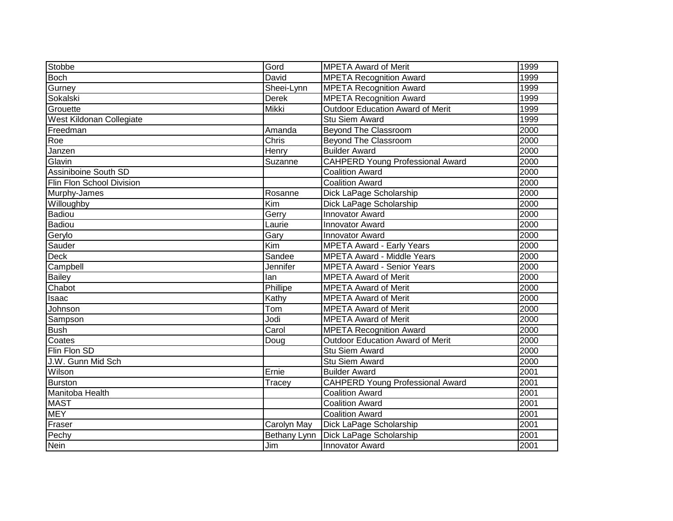| Stobbe                    | Gord                    | <b>MPETA Award of Merit</b>             | 1999 |
|---------------------------|-------------------------|-----------------------------------------|------|
| <b>Boch</b>               | David                   | <b>MPETA Recognition Award</b>          | 1999 |
| Gurney                    | Sheei-Lynn              | <b>MPETA Recognition Award</b>          | 1999 |
| Sokalski                  | <b>Derek</b>            | <b>MPETA Recognition Award</b>          | 1999 |
| Grouette                  | <b>Mikki</b>            | <b>Outdoor Education Award of Merit</b> | 1999 |
| West Kildonan Collegiate  |                         | <b>Stu Siem Award</b>                   | 1999 |
| Freedman                  | Amanda                  | <b>Beyond The Classroom</b>             | 2000 |
| Roe                       | Chris                   | <b>Beyond The Classroom</b>             | 2000 |
| Janzen                    | Henry                   | <b>Builder Award</b>                    | 2000 |
| Glavin                    | Suzanne                 | <b>CAHPERD Young Professional Award</b> | 2000 |
| Assiniboine South SD      |                         | <b>Coalition Award</b>                  | 2000 |
| Flin Flon School Division |                         | <b>Coalition Award</b>                  | 2000 |
| Murphy-James              | Rosanne                 | Dick LaPage Scholarship                 | 2000 |
| Willoughby                | Kim                     | Dick LaPage Scholarship                 | 2000 |
| Badiou                    | Gerry                   | <b>Innovator Award</b>                  | 2000 |
| <b>Badiou</b>             | Laurie                  | <b>Innovator Award</b>                  | 2000 |
| Gerylo                    | Gary                    | Innovator Award                         | 2000 |
| Sauder                    | $\overline{\text{Kim}}$ | <b>MPETA Award - Early Years</b>        | 2000 |
| <b>Deck</b>               | Sandee                  | <b>MPETA Award - Middle Years</b>       | 2000 |
| Campbell                  | Jennifer                | <b>MPETA Award - Senior Years</b>       | 2000 |
| <b>Bailey</b>             | lan                     | <b>MPETA Award of Merit</b>             | 2000 |
| Chabot                    | Phillipe                | <b>MPETA Award of Merit</b>             | 2000 |
| Isaac                     | Kathy                   | <b>MPETA Award of Merit</b>             | 2000 |
| Johnson                   | Tom                     | <b>MPETA Award of Merit</b>             | 2000 |
| Sampson                   | Jodi                    | <b>MPETA Award of Merit</b>             | 2000 |
| <b>Bush</b>               | Carol                   | <b>MPETA Recognition Award</b>          | 2000 |
| Coates                    | Doug                    | <b>Outdoor Education Award of Merit</b> | 2000 |
| Flin Flon SD              |                         | <b>Stu Siem Award</b>                   | 2000 |
| J.W. Gunn Mid Sch         |                         | Stu Siem Award                          | 2000 |
| Wilson                    | Ernie                   | <b>Builder Award</b>                    | 2001 |
| Burston                   | Tracey                  | <b>CAHPERD Young Professional Award</b> | 2001 |
| Manitoba Health           |                         | <b>Coalition Award</b>                  | 2001 |
| <b>MAST</b>               |                         | <b>Coalition Award</b>                  | 2001 |
| <b>MEY</b>                |                         | <b>Coalition Award</b>                  | 2001 |
| Fraser                    | Carolyn May             | Dick LaPage Scholarship                 | 2001 |
| Pechy                     | Bethany Lynn            | Dick LaPage Scholarship                 | 2001 |
| <b>Nein</b>               | Jim                     | <b>Innovator Award</b>                  | 2001 |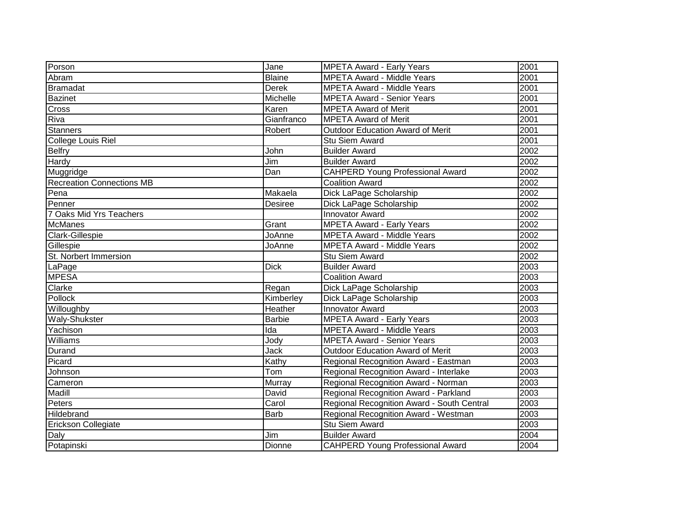| Porson                           | Jane           | <b>MPETA Award - Early Years</b>           | 2001 |
|----------------------------------|----------------|--------------------------------------------|------|
| Abram                            | <b>Blaine</b>  | <b>MPETA Award - Middle Years</b>          | 2001 |
| Bramadat                         | <b>Derek</b>   | <b>MPETA Award - Middle Years</b>          | 2001 |
| Bazinet                          | Michelle       | <b>MPETA Award - Senior Years</b>          | 2001 |
| Cross                            | Karen          | <b>MPETA Award of Merit</b>                | 2001 |
| Riva                             | Gianfranco     | <b>MPETA Award of Merit</b>                | 2001 |
| <b>Stanners</b>                  | Robert         | <b>Outdoor Education Award of Merit</b>    | 2001 |
| College Louis Riel               |                | <b>Stu Siem Award</b>                      | 2001 |
| <b>Belfry</b>                    | John           | <b>Builder Award</b>                       | 2002 |
| Hardy                            | Jim            | <b>Builder Award</b>                       | 2002 |
| Muggridge                        | Dan            | <b>CAHPERD Young Professional Award</b>    | 2002 |
| <b>Recreation Connections MB</b> |                | <b>Coalition Award</b>                     | 2002 |
| Pena                             | Makaela        | Dick LaPage Scholarship                    | 2002 |
| Penner                           | <b>Desiree</b> | Dick LaPage Scholarship                    | 2002 |
| 7 Oaks Mid Yrs Teachers          |                | Innovator Award                            | 2002 |
| <b>McManes</b>                   | Grant          | <b>MPETA Award - Early Years</b>           | 2002 |
| Clark-Gillespie                  | JoAnne         | <b>MPETA Award - Middle Years</b>          | 2002 |
| Gillespie                        | JoAnne         | <b>MPETA Award - Middle Years</b>          | 2002 |
| St. Norbert Immersion            |                | Stu Siem Award                             | 2002 |
| LaPage                           | <b>Dick</b>    | <b>Builder Award</b>                       | 2003 |
| <b>MPESA</b>                     |                | <b>Coalition Award</b>                     | 2003 |
| Clarke                           | Regan          | Dick LaPage Scholarship                    | 2003 |
| Pollock                          | Kimberley      | Dick LaPage Scholarship                    | 2003 |
| Willoughby                       | Heather        | Innovator Award                            | 2003 |
| <b>Waly-Shukster</b>             | <b>Barbie</b>  | <b>MPETA Award - Early Years</b>           | 2003 |
| Yachison                         | Ida            | <b>MPETA Award - Middle Years</b>          | 2003 |
| Williams                         | Jody           | <b>MPETA Award - Senior Years</b>          | 2003 |
| Durand                           | Jack           | <b>Outdoor Education Award of Merit</b>    | 2003 |
| Picard                           | Kathy          | Regional Recognition Award - Eastman       | 2003 |
| Johnson                          | Tom            | Regional Recognition Award - Interlake     | 2003 |
| Cameron                          | Murray         | Regional Recognition Award - Norman        | 2003 |
| Madill                           | David          | Regional Recognition Award - Parkland      | 2003 |
| Peters                           | Carol          | Regional Recognition Award - South Central | 2003 |
| Hildebrand                       | <b>Barb</b>    | Regional Recognition Award - Westman       | 2003 |
| Erickson Collegiate              |                | Stu Siem Award                             | 2003 |
| Daly                             | Jim            | <b>Builder Award</b>                       | 2004 |
| Potapinski                       | Dionne         | <b>CAHPERD Young Professional Award</b>    | 2004 |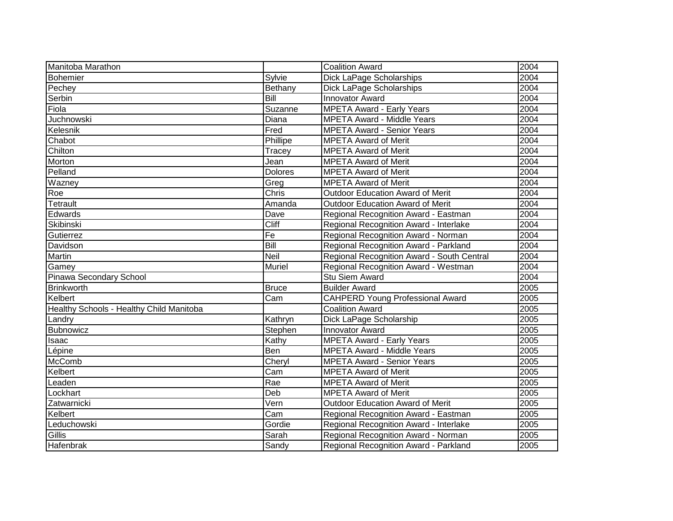| Manitoba Marathon                        |                   | <b>Coalition Award</b>                     | 2004 |
|------------------------------------------|-------------------|--------------------------------------------|------|
| Bohemier                                 | Sylvie            | Dick LaPage Scholarships                   | 2004 |
| Pechey                                   | Bethany           | Dick LaPage Scholarships                   | 2004 |
| Serbin                                   | $\overline{Bill}$ | <b>Innovator Award</b>                     | 2004 |
| Fiola                                    | Suzanne           | <b>MPETA Award - Early Years</b>           | 2004 |
| Juchnowski                               | <b>Diana</b>      | <b>MPETA Award - Middle Years</b>          | 2004 |
| Kelesnik                                 | Fred              | <b>MPETA Award - Senior Years</b>          | 2004 |
| Chabot                                   | Phillipe          | <b>MPETA Award of Merit</b>                | 2004 |
| Chilton                                  | Tracey            | <b>MPETA Award of Merit</b>                | 2004 |
| Morton                                   | Jean              | <b>MPETA Award of Merit</b>                | 2004 |
| Pelland                                  | <b>Dolores</b>    | <b>MPETA Award of Merit</b>                | 2004 |
| Wazney                                   | Greg              | <b>MPETA Award of Merit</b>                | 2004 |
| Roe                                      | Chris             | <b>Outdoor Education Award of Merit</b>    | 2004 |
| Tetrault                                 | Amanda            | <b>Outdoor Education Award of Merit</b>    | 2004 |
| Edwards                                  | Dave              | Regional Recognition Award - Eastman       | 2004 |
| Skibinski                                | Cliff             | Regional Recognition Award - Interlake     | 2004 |
| Gutierrez                                | F <sub>e</sub>    | Regional Recognition Award - Norman        | 2004 |
| Davidson                                 | <b>Bill</b>       | Regional Recognition Award - Parkland      | 2004 |
| Martin                                   | Neil              | Regional Recognition Award - South Central | 2004 |
| Gamey                                    | Muriel            | Regional Recognition Award - Westman       | 2004 |
| Pinawa Secondary School                  |                   | Stu Siem Award                             | 2004 |
| Brinkworth                               | <b>Bruce</b>      | <b>Builder Award</b>                       | 2005 |
| Kelbert                                  | Cam               | <b>CAHPERD Young Professional Award</b>    | 2005 |
| Healthy Schools - Healthy Child Manitoba |                   | <b>Coalition Award</b>                     | 2005 |
| Landry                                   | Kathryn           | Dick LaPage Scholarship                    | 2005 |
| Bubnowicz                                | Stephen           | <b>Innovator Award</b>                     | 2005 |
| Isaac                                    | Kathy             | <b>MPETA Award - Early Years</b>           | 2005 |
| Lépine                                   | Ben               | <b>MPETA Award - Middle Years</b>          | 2005 |
| <b>McComb</b>                            | Cheryl            | <b>MPETA Award - Senior Years</b>          | 2005 |
| Kelbert                                  | Cam               | <b>MPETA Award of Merit</b>                | 2005 |
| Leaden                                   | Rae               | <b>MPETA Award of Merit</b>                | 2005 |
| Lockhart                                 | Deb               | <b>MPETA Award of Merit</b>                | 2005 |
| Zatwarnicki                              | Vern              | <b>Outdoor Education Award of Merit</b>    | 2005 |
| Kelbert                                  | Cam               | Regional Recognition Award - Eastman       | 2005 |
| Leduchowski                              | Gordie            | Regional Recognition Award - Interlake     | 2005 |
| Gillis                                   | Sarah             | Regional Recognition Award - Norman        | 2005 |
| Hafenbrak                                | Sandy             | Regional Recognition Award - Parkland      | 2005 |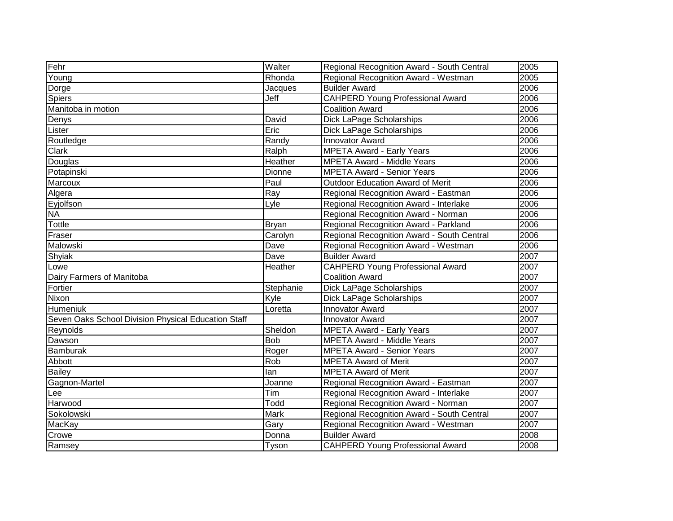| Fehr                                                | Walter       | Regional Recognition Award - South Central | 2005 |
|-----------------------------------------------------|--------------|--------------------------------------------|------|
| Young                                               | Rhonda       | Regional Recognition Award - Westman       | 2005 |
| Dorge                                               | Jacques      | <b>Builder Award</b>                       | 2006 |
| <b>Spiers</b>                                       | Jeff         | <b>CAHPERD Young Professional Award</b>    | 2006 |
| Manitoba in motion                                  |              | <b>Coalition Award</b>                     | 2006 |
| Denys                                               | David        | Dick LaPage Scholarships                   | 2006 |
| Lister                                              | Eric         | Dick LaPage Scholarships                   | 2006 |
| Routledge                                           | Randy        | <b>Innovator Award</b>                     | 2006 |
| Clark                                               | Ralph        | <b>MPETA Award - Early Years</b>           | 2006 |
| Douglas                                             | Heather      | <b>MPETA Award - Middle Years</b>          | 2006 |
| Potapinski                                          | Dionne       | <b>MPETA Award - Senior Years</b>          | 2006 |
| Marcoux                                             | Paul         | <b>Outdoor Education Award of Merit</b>    | 2006 |
| Algera                                              | Ray          | Regional Recognition Award - Eastman       | 2006 |
| Eyjolfson                                           | Lyle         | Regional Recognition Award - Interlake     | 2006 |
| <b>NA</b>                                           |              | Regional Recognition Award - Norman        | 2006 |
| Tottle                                              | <b>Bryan</b> | Regional Recognition Award - Parkland      | 2006 |
| Fraser                                              | Carolyn      | Regional Recognition Award - South Central | 2006 |
| Malowski                                            | Dave         | Regional Recognition Award - Westman       | 2006 |
| Shyiak                                              | Dave         | <b>Builder Award</b>                       | 2007 |
| Lowe                                                | Heather      | <b>CAHPERD Young Professional Award</b>    | 2007 |
| Dairy Farmers of Manitoba                           |              | <b>Coalition Award</b>                     | 2007 |
| Fortier                                             | Stephanie    | Dick LaPage Scholarships                   | 2007 |
| Nixon                                               | Kyle         | Dick LaPage Scholarships                   | 2007 |
| Humeniuk                                            | Loretta      | <b>Innovator Award</b>                     | 2007 |
| Seven Oaks School Division Physical Education Staff |              | <b>Innovator Award</b>                     | 2007 |
| Reynolds                                            | Sheldon      | <b>MPETA Award - Early Years</b>           | 2007 |
| Dawson                                              | <b>Bob</b>   | <b>MPETA Award - Middle Years</b>          | 2007 |
| Bamburak                                            | Roger        | <b>MPETA Award - Senior Years</b>          | 2007 |
| Abbott                                              | Rob          | <b>MPETA Award of Merit</b>                | 2007 |
| <b>Bailey</b>                                       | lan          | <b>MPETA Award of Merit</b>                | 2007 |
| Gagnon-Martel                                       | Joanne       | Regional Recognition Award - Eastman       | 2007 |
| Lee                                                 | Tim          | Regional Recognition Award - Interlake     | 2007 |
| Harwood                                             | Todd         | Regional Recognition Award - Norman        | 2007 |
| Sokolowski                                          | <b>Mark</b>  | Regional Recognition Award - South Central | 2007 |
| MacKay                                              | Gary         | Regional Recognition Award - Westman       | 2007 |
| Crowe                                               | Donna        | <b>Builder Award</b>                       | 2008 |
| Ramsey                                              | Tyson        | <b>CAHPERD Young Professional Award</b>    | 2008 |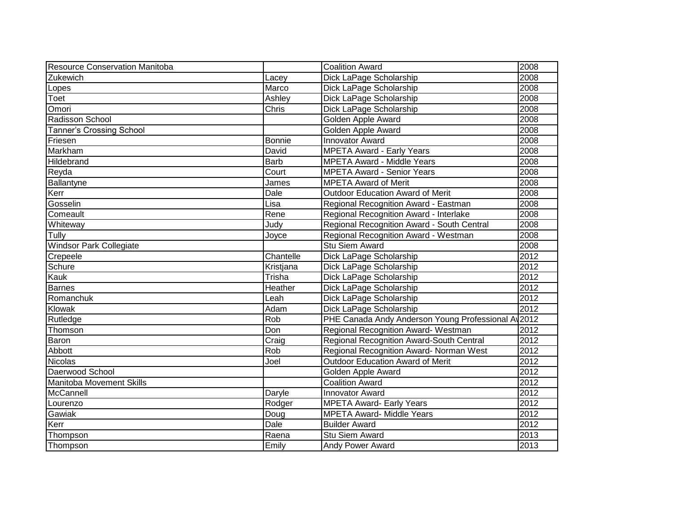| <b>Resource Conservation Manitoba</b> |               | <b>Coalition Award</b>                             | 2008 |
|---------------------------------------|---------------|----------------------------------------------------|------|
| Zukewich                              | Lacey         | Dick LaPage Scholarship                            | 2008 |
| Lopes                                 | Marco         | Dick LaPage Scholarship                            | 2008 |
| Toet                                  | Ashley        | Dick LaPage Scholarship                            | 2008 |
| Omori                                 | Chris         | Dick LaPage Scholarship                            | 2008 |
| Radisson School                       |               | Golden Apple Award                                 | 2008 |
| <b>Tanner's Crossing School</b>       |               | Golden Apple Award                                 | 2008 |
| Friesen                               | <b>Bonnie</b> | <b>Innovator Award</b>                             | 2008 |
| Markham                               | David         | <b>MPETA Award - Early Years</b>                   | 2008 |
| Hildebrand                            | <b>Barb</b>   | <b>MPETA Award - Middle Years</b>                  | 2008 |
| Reyda                                 | Court         | <b>MPETA Award - Senior Years</b>                  | 2008 |
| Ballantyne                            | James         | <b>MPETA Award of Merit</b>                        | 2008 |
| Kerr                                  | Dale          | <b>Outdoor Education Award of Merit</b>            | 2008 |
| Gosselin                              | Lisa          | Regional Recognition Award - Eastman               | 2008 |
| Comeault                              | Rene          | Regional Recognition Award - Interlake             | 2008 |
| Whiteway                              | Judy          | Regional Recognition Award - South Central         | 2008 |
| Tully                                 | Joyce         | Regional Recognition Award - Westman               | 2008 |
| <b>Windsor Park Collegiate</b>        |               | Stu Siem Award                                     | 2008 |
| Crepeele                              | Chantelle     | Dick LaPage Scholarship                            | 2012 |
| Schure                                | Kristjana     | Dick LaPage Scholarship                            | 2012 |
| Kauk                                  | Trisha        | Dick LaPage Scholarship                            | 2012 |
| <b>Barnes</b>                         | Heather       | Dick LaPage Scholarship                            | 2012 |
| Romanchuk                             | Leah          | Dick LaPage Scholarship                            | 2012 |
| Klowak                                | Adam          | Dick LaPage Scholarship                            | 2012 |
| Rutledge                              | Rob           | PHE Canada Andy Anderson Young Professional A 2012 |      |
| Thomson                               | Don           | Regional Recognition Award- Westman                | 2012 |
| Baron                                 | Craig         | Regional Recognition Award-South Central           | 2012 |
| Abbott                                | Rob           | Regional Recognition Award- Norman West            | 2012 |
| <b>Nicolas</b>                        | Joel          | <b>Outdoor Education Award of Merit</b>            | 2012 |
| Daerwood School                       |               | Golden Apple Award                                 | 2012 |
| <b>Manitoba Movement Skills</b>       |               | <b>Coalition Award</b>                             | 2012 |
| McCannell                             | Daryle        | <b>Innovator Award</b>                             | 2012 |
| Lourenzo                              | Rodger        | <b>MPETA Award- Early Years</b>                    | 2012 |
| Gawiak                                | Doug          | <b>MPETA Award- Middle Years</b>                   | 2012 |
| Kerr                                  | Dale          | <b>Builder Award</b>                               | 2012 |
| Thompson                              | Raena         | <b>Stu Siem Award</b>                              | 2013 |
| Thompson                              | Emily         | Andy Power Award                                   | 2013 |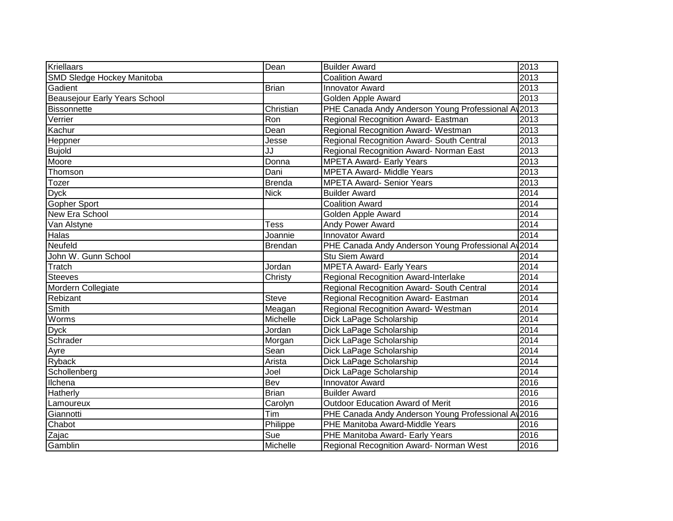| Kriellaars                           | Dean           | <b>Builder Award</b>                               | 2013 |
|--------------------------------------|----------------|----------------------------------------------------|------|
| SMD Sledge Hockey Manitoba           |                | <b>Coalition Award</b>                             | 2013 |
| Gadient                              | <b>Brian</b>   | <b>Innovator Award</b>                             | 2013 |
| <b>Beausejour Early Years School</b> |                | Golden Apple Award                                 | 2013 |
| <b>Bissonnette</b>                   | Christian      | PHE Canada Andy Anderson Young Professional At     | 2013 |
| Verrier                              | Ron            | Regional Recognition Award- Eastman                | 2013 |
| Kachur                               | Dean           | Regional Recognition Award- Westman                | 2013 |
| Heppner                              | Jesse          | Regional Recognition Award- South Central          | 2013 |
| <b>Bujold</b>                        | JJ             | Regional Recognition Award- Norman East            | 2013 |
| Moore                                | Donna          | <b>MPETA Award- Early Years</b>                    | 2013 |
| Thomson                              | Dani           | <b>MPETA Award- Middle Years</b>                   | 2013 |
| Tozer                                | <b>Brenda</b>  | <b>MPETA Award- Senior Years</b>                   | 2013 |
| <b>Dyck</b>                          | <b>Nick</b>    | <b>Builder Award</b>                               | 2014 |
| Gopher Sport                         |                | <b>Coalition Award</b>                             | 2014 |
| New Era School                       |                | Golden Apple Award                                 | 2014 |
| Van Alstyne                          | <b>Tess</b>    | Andy Power Award                                   | 2014 |
| Halas                                | Joannie        | <b>Innovator Award</b>                             | 2014 |
| Neufeld                              | <b>Brendan</b> | PHE Canada Andy Anderson Young Professional A 2014 |      |
| John W. Gunn School                  |                | Stu Siem Award                                     | 2014 |
| Tratch                               | Jordan         | <b>MPETA Award- Early Years</b>                    | 2014 |
| <b>Steeves</b>                       | Christy        | Regional Recognition Award-Interlake               | 2014 |
| Mordern Collegiate                   |                | Regional Recognition Award- South Central          | 2014 |
| Rebizant                             | <b>Steve</b>   | Regional Recognition Award- Eastman                | 2014 |
| Smith                                | Meagan         | Regional Recognition Award- Westman                | 2014 |
| Worms                                | Michelle       | Dick LaPage Scholarship                            | 2014 |
| <b>Dyck</b>                          | Jordan         | Dick LaPage Scholarship                            | 2014 |
| Schrader                             | Morgan         | Dick LaPage Scholarship                            | 2014 |
| Ayre                                 | Sean           | Dick LaPage Scholarship                            | 2014 |
| Ryback                               | Arista         | Dick LaPage Scholarship                            | 2014 |
| Schollenberg                         | Joel           | Dick LaPage Scholarship                            | 2014 |
| llchena                              | <b>Bev</b>     | <b>Innovator Award</b>                             | 2016 |
| Hatherly                             | <b>Brian</b>   | <b>Builder Award</b>                               | 2016 |
| Lamoureux                            | Carolyn        | <b>Outdoor Education Award of Merit</b>            | 2016 |
| Giannotti                            | Tim            | PHE Canada Andy Anderson Young Professional A 2016 |      |
| Chabot                               | Philippe       | PHE Manitoba Award-Middle Years                    | 2016 |
| Zajac                                | Sue            | PHE Manitoba Award- Early Years                    | 2016 |
| Gamblin                              | Michelle       | Regional Recognition Award- Norman West            | 2016 |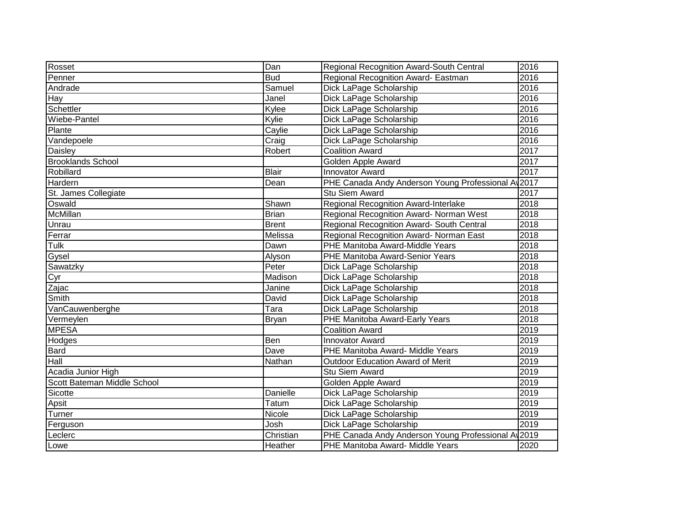| Rosset                      | Dan          | Regional Recognition Award-South Central           | 2016 |
|-----------------------------|--------------|----------------------------------------------------|------|
| Penner                      | <b>Bud</b>   | Regional Recognition Award- Eastman                | 2016 |
| Andrade                     | Samuel       | Dick LaPage Scholarship                            | 2016 |
| Hay                         | Janel        | Dick LaPage Scholarship                            | 2016 |
| Schettler                   | Kylee        | Dick LaPage Scholarship                            | 2016 |
| Wiebe-Pantel                | Kylie        | Dick LaPage Scholarship                            | 2016 |
| Plante                      | Caylie       | Dick LaPage Scholarship                            | 2016 |
| Vandepoele                  | Craig        | Dick LaPage Scholarship                            | 2016 |
| Daisley                     | Robert       | <b>Coalition Award</b>                             | 2017 |
| <b>Brooklands School</b>    |              | Golden Apple Award                                 | 2017 |
| Robillard                   | <b>Blair</b> | <b>Innovator Award</b>                             | 2017 |
| Hardern                     | Dean         | PHE Canada Andy Anderson Young Professional A 2017 |      |
| St. James Collegiate        |              | <b>Stu Siem Award</b>                              | 2017 |
| Oswald                      | Shawn        | Regional Recognition Award-Interlake               | 2018 |
| McMillan                    | <b>Brian</b> | Regional Recognition Award- Norman West            | 2018 |
| Unrau                       | Brent        | Regional Recognition Award- South Central          | 2018 |
| Ferrar                      | Melissa      | Regional Recognition Award- Norman East            | 2018 |
| Tulk                        | Dawn         | PHE Manitoba Award-Middle Years                    | 2018 |
| Gysel                       | Alyson       | PHE Manitoba Award-Senior Years                    | 2018 |
| Sawatzky                    | Peter        | Dick LaPage Scholarship                            | 2018 |
| Cyr                         | Madison      | Dick LaPage Scholarship                            | 2018 |
| Zajac                       | Janine       | Dick LaPage Scholarship                            | 2018 |
| Smith                       | David        | Dick LaPage Scholarship                            | 2018 |
| VanCauwenberghe             | Tara         | Dick LaPage Scholarship                            | 2018 |
| Vermeylen                   | Bryan        | PHE Manitoba Award-Early Years                     | 2018 |
| <b>MPESA</b>                |              | <b>Coalition Award</b>                             | 2019 |
| Hodges                      | Ben          | <b>Innovator Award</b>                             | 2019 |
| Bard                        | Dave         | PHE Manitoba Award- Middle Years                   | 2019 |
| Hall                        | Nathan       | <b>Outdoor Education Award of Merit</b>            | 2019 |
| Acadia Junior High          |              | <b>Stu Siem Award</b>                              | 2019 |
| Scott Bateman Middle School |              | Golden Apple Award                                 | 2019 |
| Sicotte                     | Danielle     | Dick LaPage Scholarship                            | 2019 |
| Apsit                       | <b>Tatum</b> | Dick LaPage Scholarship                            | 2019 |
| Turner                      | Nicole       | Dick LaPage Scholarship                            | 2019 |
| Ferguson                    | Josh         | Dick LaPage Scholarship                            | 2019 |
| Leclerc                     | Christian    | PHE Canada Andy Anderson Young Professional A 2019 |      |
| Lowe                        | Heather      | PHE Manitoba Award- Middle Years                   | 2020 |